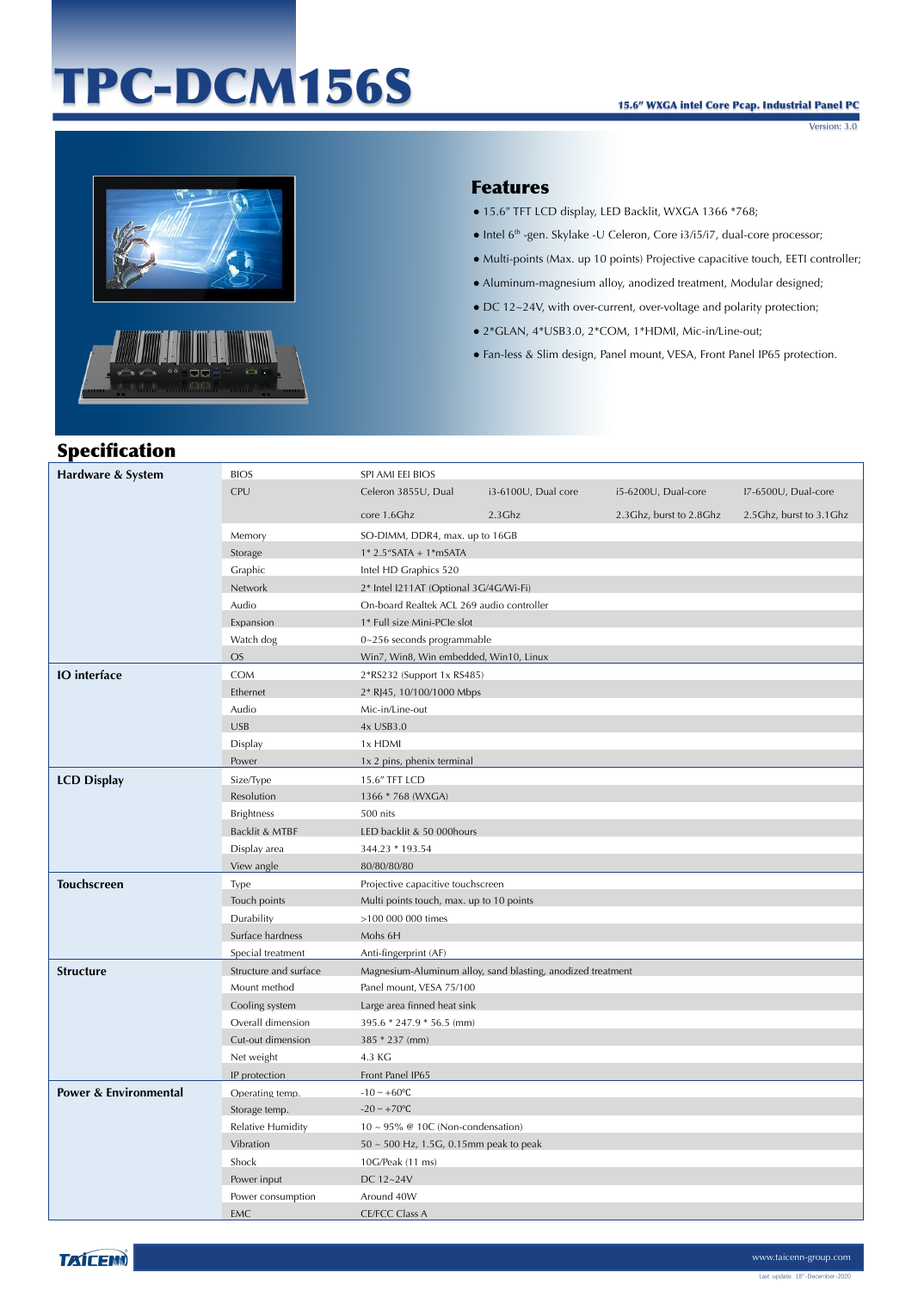# TPC-DCM156S

Version: 3.0



#### Features

- 15.6" TFT LCD display, LED Backlit, WXGA 1366 \*768;
- Intel 6th -gen. Skylake -U Celeron, Core i3/i5/i7, dual-core processor;
- Multi-points (Max. up 10 points) Projective capacitive touch, EETI controller;
- Aluminum-magnesium alloy, anodized treatment, Modular designed;
- DC 12~24V, with over-current, over-voltage and polarity protection;
- 2\*GLAN, 4\*USB3.0, 2\*COM, 1\*HDMI, Mic-in/Line-out;
- Fan-less & Slim design, Panel mount, VESA, Front Panel IP65 protection.

| <b>Specification</b>             |                       |                                             |                                                             |                         |                           |
|----------------------------------|-----------------------|---------------------------------------------|-------------------------------------------------------------|-------------------------|---------------------------|
| Hardware & System                | <b>BIOS</b>           | SPI AMI EEI BIOS                            |                                                             |                         |                           |
|                                  | CPU                   | Celeron 3855U, Dual                         | i3-6100U, Dual core                                         | i5-6200U, Dual-core     | I7-6500U, Dual-core       |
|                                  |                       | core 1.6Ghz                                 | $2.3$ Ghz                                                   | 2.3Ghz, burst to 2.8Ghz | 2.5 Ghz, burst to 3.1 Ghz |
|                                  | Memory                | SO-DIMM, DDR4, max. up to 16GB              |                                                             |                         |                           |
|                                  | Storage               | $1*$ 2.5"SATA + 1*mSATA                     |                                                             |                         |                           |
|                                  | Graphic               | Intel HD Graphics 520                       |                                                             |                         |                           |
|                                  | Network               | 2* Intel I211AT (Optional 3G/4G/Wi-Fi)      |                                                             |                         |                           |
|                                  | Audio                 | On-board Realtek ACL 269 audio controller   |                                                             |                         |                           |
|                                  | Expansion             | 1* Full size Mini-PCIe slot                 |                                                             |                         |                           |
|                                  | Watch dog             | $0 - 256$ seconds programmable              |                                                             |                         |                           |
|                                  | <b>OS</b>             | Win7, Win8, Win embedded, Win10, Linux      |                                                             |                         |                           |
| <b>IO</b> interface              | <b>COM</b>            | 2*RS232 (Support 1x RS485)                  |                                                             |                         |                           |
|                                  | Ethernet              | 2* RJ45, 10/100/1000 Mbps                   |                                                             |                         |                           |
|                                  | Audio                 | Mic-in/Line-out                             |                                                             |                         |                           |
|                                  | <b>USB</b>            | 4x USB3.0                                   |                                                             |                         |                           |
|                                  | Display               | 1x HDMI                                     |                                                             |                         |                           |
|                                  | Power                 | 1x 2 pins, phenix terminal                  |                                                             |                         |                           |
| <b>LCD Display</b>               | Size/Type             | 15.6" TFT LCD                               |                                                             |                         |                           |
|                                  | Resolution            | 1366 * 768 (WXGA)                           |                                                             |                         |                           |
|                                  | <b>Brightness</b>     | 500 nits                                    |                                                             |                         |                           |
|                                  | Backlit & MTBF        | LED backlit & 50 000hours                   |                                                             |                         |                           |
|                                  | Display area          | 344.23 * 193.54                             |                                                             |                         |                           |
|                                  | View angle            | 80/80/80/80                                 |                                                             |                         |                           |
| <b>Touchscreen</b>               | Type                  | Projective capacitive touchscreen           |                                                             |                         |                           |
|                                  | Touch points          | Multi points touch, max. up to 10 points    |                                                             |                         |                           |
|                                  | Durability            | >100 000 000 times                          |                                                             |                         |                           |
|                                  | Surface hardness      | Mohs 6H                                     |                                                             |                         |                           |
|                                  | Special treatment     | Anti-fingerprint (AF)                       |                                                             |                         |                           |
| <b>Structure</b>                 | Structure and surface |                                             | Magnesium-Aluminum alloy, sand blasting, anodized treatment |                         |                           |
|                                  | Mount method          | Panel mount, VESA 75/100                    |                                                             |                         |                           |
|                                  | Cooling system        | Large area finned heat sink                 |                                                             |                         |                           |
|                                  | Overall dimension     | 395.6 * 247.9 * 56.5 (mm)                   |                                                             |                         |                           |
|                                  | Cut-out dimension     | 385 * 237 (mm)                              |                                                             |                         |                           |
|                                  | Net weight            | 4.3 KG                                      |                                                             |                         |                           |
|                                  | IP protection         | Front Panel IP65                            |                                                             |                         |                           |
| <b>Power &amp; Environmental</b> | Operating temp.       | $-10 - +60$ °C                              |                                                             |                         |                           |
|                                  | Storage temp.         | $-20 \sim +70$ °C                           |                                                             |                         |                           |
|                                  | Relative Humidity     | $10 \sim 95\%$ @ 10C (Non-condensation)     |                                                             |                         |                           |
|                                  | Vibration             | $50 \sim 500$ Hz, 1.5G, 0.15mm peak to peak |                                                             |                         |                           |
|                                  | Shock                 | 10G/Peak (11 ms)                            |                                                             |                         |                           |
|                                  | Power input           | DC 12~24V                                   |                                                             |                         |                           |
|                                  | Power consumption     | Around 40W                                  |                                                             |                         |                           |
|                                  | EMC                   | <b>CE/FCC Class A</b>                       |                                                             |                         |                           |